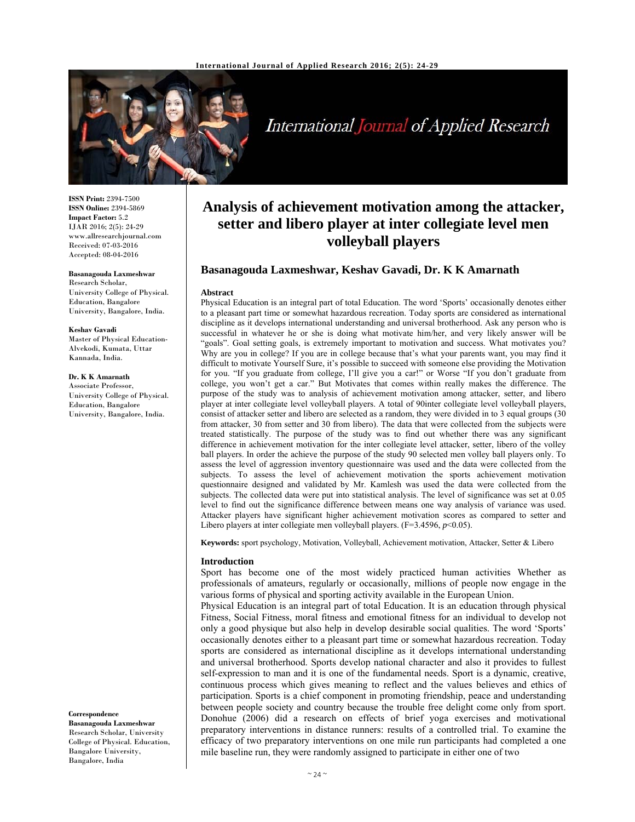

# International Journal of Applied Research

**ISSN Print:** 2394-7500 **ISSN Online:** 2394-5869 **Impact Factor:** 5.2 IJAR 2016; 2(5): 24-29 www.allresearchjournal.com Received: 07-03-2016 Accepted: 08-04-2016

**Basanagouda Laxmeshwar**  Research Scholar, University College of Physical. Education, Bangalore University, Bangalore, India.

**Keshav Gavadi**  Master of Physical Education-Alvekodi, Kumata, Uttar Kannada, India.

**Dr. K K Amarnath**  Associate Professor, University College of Physical. Education, Bangalore University, Bangalore, India.

**Correspondence**

**Basanagouda Laxmeshwar**  Research Scholar, University College of Physical. Education, Bangalore University, Bangalore, India

## **Analysis of achievement motivation among the attacker, setter and libero player at inter collegiate level men volleyball players**

#### **Basanagouda Laxmeshwar, Keshav Gavadi, Dr. K K Amarnath**

#### **Abstract**

Physical Education is an integral part of total Education. The word 'Sports' occasionally denotes either to a pleasant part time or somewhat hazardous recreation. Today sports are considered as international discipline as it develops international understanding and universal brotherhood. Ask any person who is successful in whatever he or she is doing what motivate him/her, and very likely answer will be "goals". Goal setting goals, is extremely important to motivation and success. What motivates you? Why are you in college? If you are in college because that's what your parents want, you may find it difficult to motivate Yourself Sure, it's possible to succeed with someone else providing the Motivation for you. "If you graduate from college, I'll give you a car!" or Worse "If you don't graduate from college, you won't get a car." But Motivates that comes within really makes the difference. The purpose of the study was to analysis of achievement motivation among attacker, setter, and libero player at inter collegiate level volleyball players. A total of 90inter collegiate level volleyball players, consist of attacker setter and libero are selected as a random, they were divided in to 3 equal groups (30 from attacker, 30 from setter and 30 from libero). The data that were collected from the subjects were treated statistically. The purpose of the study was to find out whether there was any significant difference in achievement motivation for the inter collegiate level attacker, setter, libero of the volley ball players. In order the achieve the purpose of the study 90 selected men volley ball players only. To assess the level of aggression inventory questionnaire was used and the data were collected from the subjects. To assess the level of achievement motivation the sports achievement motivation questionnaire designed and validated by Mr. Kamlesh was used the data were collected from the subjects. The collected data were put into statistical analysis. The level of significance was set at 0.05 level to find out the significance difference between means one way analysis of variance was used. Attacker players have significant higher achievement motivation scores as compared to setter and Libero players at inter collegiate men volleyball players.  $(F=3.4596, p<0.05)$ .

**Keywords:** sport psychology, Motivation, Volleyball, Achievement motivation, Attacker, Setter & Libero

#### **Introduction**

Sport has become one of the most widely practiced human activities Whether as professionals of amateurs, regularly or occasionally, millions of people now engage in the various forms of physical and sporting activity available in the European Union.

Physical Education is an integral part of total Education. It is an education through physical Fitness, Social Fitness, moral fitness and emotional fitness for an individual to develop not only a good physique but also help in develop desirable social qualities. The word 'Sports' occasionally denotes either to a pleasant part time or somewhat hazardous recreation. Today sports are considered as international discipline as it develops international understanding and universal brotherhood. Sports develop national character and also it provides to fullest self-expression to man and it is one of the fundamental needs. Sport is a dynamic, creative, continuous process which gives meaning to reflect and the values believes and ethics of participation. Sports is a chief component in promoting friendship, peace and understanding between people society and country because the trouble free delight come only from sport. Donohue (2006) did a research on effects of brief yoga exercises and motivational preparatory interventions in distance runners: results of a controlled trial. To examine the efficacy of two preparatory interventions on one mile run participants had completed a one mile baseline run, they were randomly assigned to participate in either one of two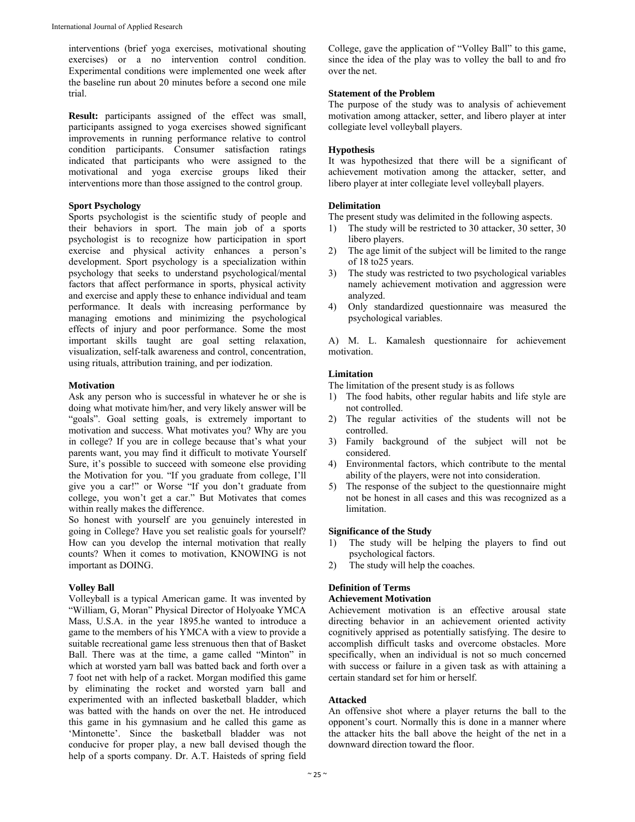interventions (brief yoga exercises, motivational shouting exercises) or a no intervention control condition. Experimental conditions were implemented one week after the baseline run about 20 minutes before a second one mile trial.

**Result:** participants assigned of the effect was small, participants assigned to yoga exercises showed significant improvements in running performance relative to control condition participants. Consumer satisfaction ratings indicated that participants who were assigned to the motivational and yoga exercise groups liked their interventions more than those assigned to the control group.

#### **Sport Psychology**

Sports psychologist is the scientific study of people and their behaviors in sport. The main job of a sports psychologist is to recognize how participation in sport exercise and physical activity enhances a person's development. Sport psychology is a specialization within psychology that seeks to understand psychological/mental factors that affect performance in sports, physical activity and exercise and apply these to enhance individual and team performance. It deals with increasing performance by managing emotions and minimizing the psychological effects of injury and poor performance. Some the most important skills taught are goal setting relaxation, visualization, self-talk awareness and control, concentration, using rituals, attribution training, and per iodization.

#### **Motivation**

Ask any person who is successful in whatever he or she is doing what motivate him/her, and very likely answer will be "goals". Goal setting goals, is extremely important to motivation and success. What motivates you? Why are you in college? If you are in college because that's what your parents want, you may find it difficult to motivate Yourself Sure, it's possible to succeed with someone else providing the Motivation for you. "If you graduate from college, I'll give you a car!" or Worse "If you don't graduate from college, you won't get a car." But Motivates that comes within really makes the difference.

So honest with yourself are you genuinely interested in going in College? Have you set realistic goals for yourself? How can you develop the internal motivation that really counts? When it comes to motivation, KNOWING is not important as DOING.

#### **Volley Ball**

Volleyball is a typical American game. It was invented by "William, G, Moran" Physical Director of Holyoake YMCA Mass, U.S.A. in the year 1895.he wanted to introduce a game to the members of his YMCA with a view to provide a suitable recreational game less strenuous then that of Basket Ball. There was at the time, a game called "Minton" in which at worsted yarn ball was batted back and forth over a 7 foot net with help of a racket. Morgan modified this game by eliminating the rocket and worsted yarn ball and experimented with an inflected basketball bladder, which was batted with the hands on over the net. He introduced this game in his gymnasium and he called this game as 'Mintonette'. Since the basketball bladder was not conducive for proper play, a new ball devised though the help of a sports company. Dr. A.T. Haisteds of spring field

College, gave the application of "Volley Ball" to this game, since the idea of the play was to volley the ball to and fro over the net.

#### **Statement of the Problem**

The purpose of the study was to analysis of achievement motivation among attacker, setter, and libero player at inter collegiate level volleyball players.

#### **Hypothesis**

It was hypothesized that there will be a significant of achievement motivation among the attacker, setter, and libero player at inter collegiate level volleyball players.

#### **Delimitation**

The present study was delimited in the following aspects.

- 1) The study will be restricted to 30 attacker, 30 setter, 30 libero players.
- 2) The age limit of the subject will be limited to the range of 18 to25 years.
- 3) The study was restricted to two psychological variables namely achievement motivation and aggression were analyzed.
- 4) Only standardized questionnaire was measured the psychological variables.

A) M. L. Kamalesh questionnaire for achievement motivation.

#### **Limitation**

The limitation of the present study is as follows

- 1) The food habits, other regular habits and life style are not controlled.
- 2) The regular activities of the students will not be controlled.
- 3) Family background of the subject will not be considered.
- 4) Environmental factors, which contribute to the mental ability of the players, were not into consideration.
- 5) The response of the subject to the questionnaire might not be honest in all cases and this was recognized as a limitation.

#### **Significance of the Study**

- 1) The study will be helping the players to find out psychological factors.
- 2) The study will help the coaches.

## **Definition of Terms**

#### **Achievement Motivation**

Achievement motivation is an effective arousal state directing behavior in an achievement oriented activity cognitively apprised as potentially satisfying. The desire to accomplish difficult tasks and overcome obstacles. More specifically, when an individual is not so much concerned with success or failure in a given task as with attaining a certain standard set for him or herself.

#### **Attacked**

An offensive shot where a player returns the ball to the opponent's court. Normally this is done in a manner where the attacker hits the ball above the height of the net in a downward direction toward the floor.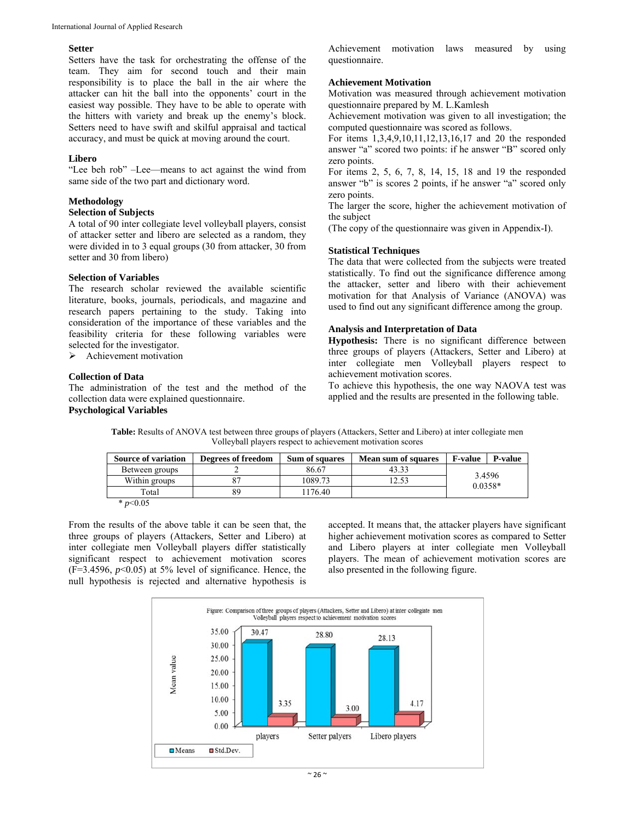#### **Setter**

Setters have the task for orchestrating the offense of the team. They aim for second touch and their main responsibility is to place the ball in the air where the attacker can hit the ball into the opponents' court in the easiest way possible. They have to be able to operate with the hitters with variety and break up the enemy's block. Setters need to have swift and skilful appraisal and tactical accuracy, and must be quick at moving around the court.

#### **Libero**

"Lee beh rob" –Lee—means to act against the wind from same side of the two part and dictionary word.

#### **Methodology**

#### **Selection of Subjects**

A total of 90 inter collegiate level volleyball players, consist of attacker setter and libero are selected as a random, they were divided in to 3 equal groups (30 from attacker, 30 from setter and 30 from libero)

#### **Selection of Variables**

The research scholar reviewed the available scientific literature, books, journals, periodicals, and magazine and research papers pertaining to the study. Taking into consideration of the importance of these variables and the feasibility criteria for these following variables were selected for the investigator.

 $\triangleright$  Achievement motivation

### **Collection of Data**

The administration of the test and the method of the collection data were explained questionnaire.

## **Psychological Variables**

Achievement motivation laws measured by using questionnaire.

#### **Achievement Motivation**

Motivation was measured through achievement motivation questionnaire prepared by M. L.Kamlesh

Achievement motivation was given to all investigation; the computed questionnaire was scored as follows.

For items 1,3,4,9,10,11,12,13,16,17 and 20 the responded answer "a" scored two points: if he answer "B" scored only zero points.

For items 2, 5, 6, 7, 8, 14, 15, 18 and 19 the responded answer "b" is scores 2 points, if he answer "a" scored only zero points.

The larger the score, higher the achievement motivation of the subject

(The copy of the questionnaire was given in Appendix-I).

#### **Statistical Techniques**

The data that were collected from the subjects were treated statistically. To find out the significance difference among the attacker, setter and libero with their achievement motivation for that Analysis of Variance (ANOVA) was used to find out any significant difference among the group.

#### **Analysis and Interpretation of Data**

**Hypothesis:** There is no significant difference between three groups of players (Attackers, Setter and Libero) at inter collegiate men Volleyball players respect to achievement motivation scores.

To achieve this hypothesis, the one way NAOVA test was applied and the results are presented in the following table.

**Table:** Results of ANOVA test between three groups of players (Attackers, Setter and Libero) at inter collegiate men Volleyball players respect to achievement motivation scores

| <b>Source of variation</b> | Degrees of freedom | <b>Sum of squares</b> | <b>Mean sum of squares</b> | <b>F-value</b>      | <b>P-value</b> |
|----------------------------|--------------------|-----------------------|----------------------------|---------------------|----------------|
| Between groups             |                    | 86.67                 | 43.33                      |                     |                |
| Within groups              |                    | 1089.73               | 12.53                      | 3.4596<br>$0.0358*$ |                |
| Total                      | 89                 | 1176.40               |                            |                     |                |
| $n \le 0.05$               |                    |                       |                            |                     |                |

\* *p*<0.05

From the results of the above table it can be seen that, the three groups of players (Attackers, Setter and Libero) at inter collegiate men Volleyball players differ statistically significant respect to achievement motivation scores (F=3.4596, *p*<0.05) at 5% level of significance. Hence, the null hypothesis is rejected and alternative hypothesis is

accepted. It means that, the attacker players have significant higher achievement motivation scores as compared to Setter and Libero players at inter collegiate men Volleyball players. The mean of achievement motivation scores are also presented in the following figure.

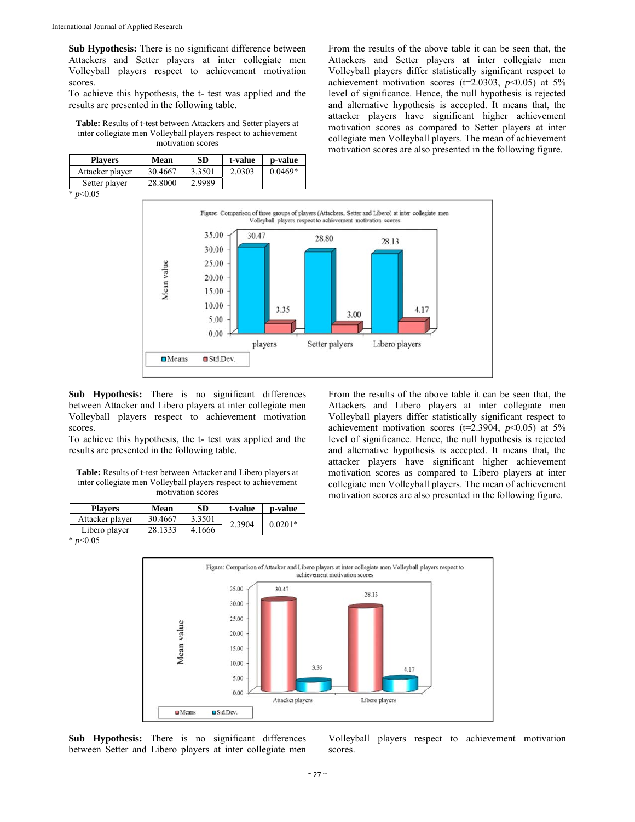**Sub Hypothesis:** There is no significant difference between Attackers and Setter players at inter collegiate men Volleyball players respect to achievement motivation scores.

To achieve this hypothesis, the t- test was applied and the results are presented in the following table.

**Table:** Results of t-test between Attackers and Setter players at inter collegiate men Volleyball players respect to achievement motivation scores

| <b>Players</b>  | Mean    | SD.    | t-value | p-value   |
|-----------------|---------|--------|---------|-----------|
| Attacker player | 30.4667 | 3.3501 | 2.0303  | $0.0469*$ |
| Setter player   | 28.8000 | 2.9989 |         |           |

 $\frac{1}{2}$  *p* < 0.05



**Sub Hypothesis:** There is no significant differences between Attacker and Libero players at inter collegiate men Volleyball players respect to achievement motivation scores.

To achieve this hypothesis, the t- test was applied and the results are presented in the following table.

**Table:** Results of t-test between Attacker and Libero players at inter collegiate men Volleyball players respect to achievement motivation scores

| <b>Players</b>  | Mean    | <b>SD</b> | t-value | p-value   |
|-----------------|---------|-----------|---------|-----------|
| Attacker player | 30.4667 | 3.3501    | 2.3904  | $0.0201*$ |
| Libero player   | 28.1333 | 4.1666    |         |           |
| * $p<0.05$      |         |           |         |           |

From the results of the above table it can be seen that, the Attackers and Libero players at inter collegiate men Volleyball players differ statistically significant respect to achievement motivation scores (t=2.3904, *p*<0.05) at 5% level of significance. Hence, the null hypothesis is rejected and alternative hypothesis is accepted. It means that, the attacker players have significant higher achievement motivation scores as compared to Libero players at inter collegiate men Volleyball players. The mean of achievement motivation scores are also presented in the following figure.



**Sub Hypothesis:** There is no significant differences between Setter and Libero players at inter collegiate men

Volleyball players respect to achievement motivation scores.

From the results of the above table it can be seen that, the Attackers and Setter players at inter collegiate men Volleyball players differ statistically significant respect to achievement motivation scores ( $t=2.0303$ ,  $p<0.05$ ) at 5% level of significance. Hence, the null hypothesis is rejected and alternative hypothesis is accepted. It means that, the attacker players have significant higher achievement motivation scores as compared to Setter players at inter collegiate men Volleyball players. The mean of achievement motivation scores are also presented in the following figure.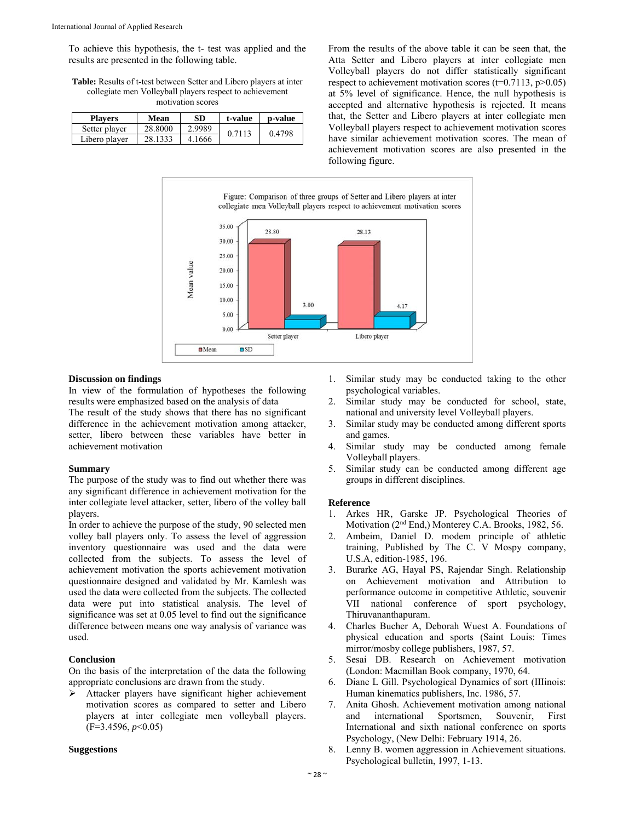To achieve this hypothesis, the t- test was applied and the results are presented in the following table.

**Table:** Results of t-test between Setter and Libero players at inter collegiate men Volleyball players respect to achievement motivation scores

| Plavers       | Mean    | SD     | t-value | p-value |
|---------------|---------|--------|---------|---------|
| Setter player | 28.8000 | 2.9989 | 0.7113  | 0.4798  |
| Libero player | 28 1333 | 4.1666 |         |         |

From the results of the above table it can be seen that, the Atta Setter and Libero players at inter collegiate men Volleyball players do not differ statistically significant respect to achievement motivation scores  $(t=0.7113, p>0.05)$ at 5% level of significance. Hence, the null hypothesis is accepted and alternative hypothesis is rejected. It means that, the Setter and Libero players at inter collegiate men Volleyball players respect to achievement motivation scores have similar achievement motivation scores. The mean of achievement motivation scores are also presented in the following figure.



#### **Discussion on findings**

In view of the formulation of hypotheses the following results were emphasized based on the analysis of data

The result of the study shows that there has no significant difference in the achievement motivation among attacker, setter, libero between these variables have better in achievement motivation

#### **Summary**

The purpose of the study was to find out whether there was any significant difference in achievement motivation for the inter collegiate level attacker, setter, libero of the volley ball players.

In order to achieve the purpose of the study, 90 selected men volley ball players only. To assess the level of aggression inventory questionnaire was used and the data were collected from the subjects. To assess the level of achievement motivation the sports achievement motivation questionnaire designed and validated by Mr. Kamlesh was used the data were collected from the subjects. The collected data were put into statistical analysis. The level of significance was set at 0.05 level to find out the significance difference between means one way analysis of variance was used.

#### **Conclusion**

On the basis of the interpretation of the data the following appropriate conclusions are drawn from the study.

 Attacker players have significant higher achievement motivation scores as compared to setter and Libero players at inter collegiate men volleyball players. (F=3.4596, *p*<0.05)

#### **Suggestions**

- 1. Similar study may be conducted taking to the other psychological variables.
- 2. Similar study may be conducted for school, state, national and university level Volleyball players.
- 3. Similar study may be conducted among different sports and games.
- 4. Similar study may be conducted among female Volleyball players.
- 5. Similar study can be conducted among different age groups in different disciplines.

#### **Reference**

- 1. Arkes HR, Garske JP. Psychological Theories of Motivation (2nd End,) Monterey C.A. Brooks, 1982, 56.
- 2. Ambeim, Daniel D. modem principle of athletic training, Published by The C. V Mospy company, U.S.A, edition-1985, 196.
- 3. Burarke AG, Hayal PS, Rajendar Singh. Relationship on Achievement motivation and Attribution to performance outcome in competitive Athletic, souvenir VII national conference of sport psychology, Thiruvananthapuram.
- 4. Charles Bucher A, Deborah Wuest A. Foundations of physical education and sports (Saint Louis: Times mirror/mosby college publishers, 1987, 57.
- 5. Sesai DB. Research on Achievement motivation (London: Macmillan Book company, 1970, 64.
- 6. Diane L Gill. Psychological Dynamics of sort (IIIinois: Human kinematics publishers, Inc. 1986, 57.
- 7. Anita Ghosh. Achievement motivation among national and international Sportsmen, Souvenir, First International and sixth national conference on sports Psychology, (New Delhi: February 1914, 26.
- Lenny B. women aggression in Achievement situations. Psychological bulletin, 1997, 1-13.